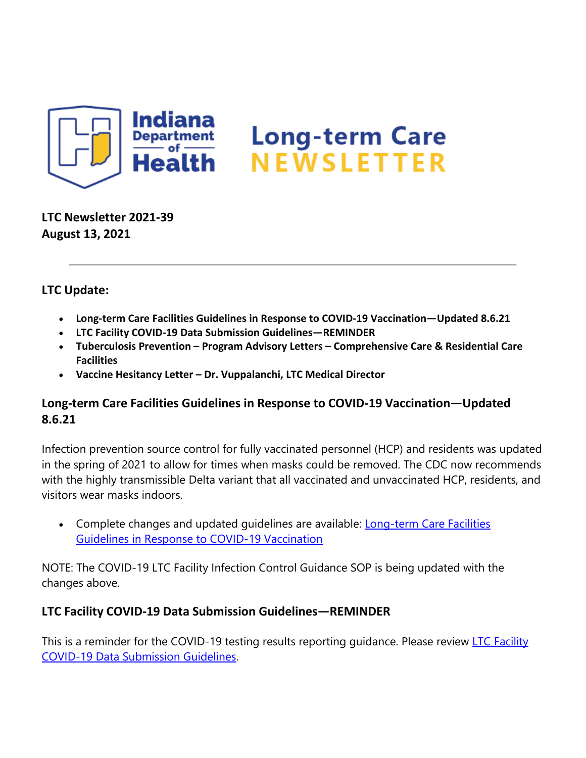

**LTC Newsletter 2021-39 August 13, 2021**

### **LTC Update:**

- **Long-term Care Facilities Guidelines in Response to COVID-19 Vaccination—Updated 8.6.21**
- **LTC Facility COVID-19 Data Submission Guidelines—REMINDER**
- **Tuberculosis Prevention – Program Advisory Letters – Comprehensive Care & Residential Care Facilities**
- **Vaccine Hesitancy Letter – Dr. Vuppalanchi, LTC Medical Director**

### **Long-term Care Facilities Guidelines in Response to COVID-19 Vaccination—Updated 8.6.21**

Infection prevention source control for fully vaccinated personnel (HCP) and residents was updated in the spring of 2021 to allow for times when masks could be removed. The CDC now recommends with the highly transmissible Delta variant that all vaccinated and unvaccinated HCP, residents, and visitors wear masks indoors.

• Complete changes and updated quidelines are available: Long-term Care Facilities [Guidelines in Response to COVID-19 Vaccination](https://www.coronavirus.in.gov/files/LTC%20guidelines%20COVID-19%20Vaccination%208.11.21.pdf)

NOTE: The COVID-19 LTC Facility Infection Control Guidance SOP is being updated with the changes above.

### **LTC Facility COVID-19 Data Submission Guidelines—REMINDER**

This is a reminder for the COVID-19 testing results reporting guidance. Please review LTC Facility [COVID-19 Data Submission Guidelines.](https://content.govdelivery.com/attachments/INSDH/2021/08/12/file_attachments/1903726/IN_COVID-19%20LTC%20Data%20Submission%20Guidelines%2012.22.20.pdf)